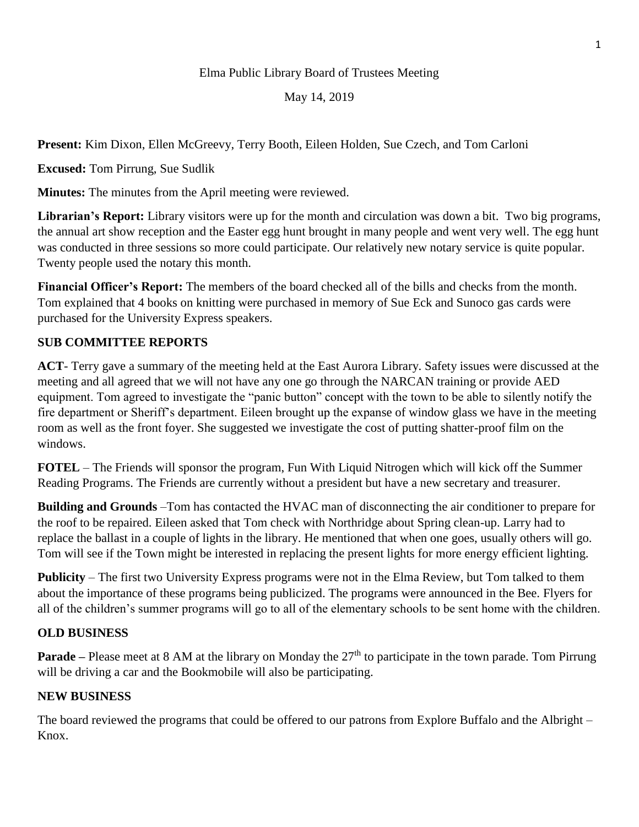## Elma Public Library Board of Trustees Meeting

## May 14, 2019

**Present:** Kim Dixon, Ellen McGreevy, Terry Booth, Eileen Holden, Sue Czech, and Tom Carloni

**Excused:** Tom Pirrung, Sue Sudlik

**Minutes:** The minutes from the April meeting were reviewed.

**Librarian's Report:** Library visitors were up for the month and circulation was down a bit. Two big programs, the annual art show reception and the Easter egg hunt brought in many people and went very well. The egg hunt was conducted in three sessions so more could participate. Our relatively new notary service is quite popular. Twenty people used the notary this month.

**Financial Officer's Report:** The members of the board checked all of the bills and checks from the month. Tom explained that 4 books on knitting were purchased in memory of Sue Eck and Sunoco gas cards were purchased for the University Express speakers.

# **SUB COMMITTEE REPORTS**

**ACT**- Terry gave a summary of the meeting held at the East Aurora Library. Safety issues were discussed at the meeting and all agreed that we will not have any one go through the NARCAN training or provide AED equipment. Tom agreed to investigate the "panic button" concept with the town to be able to silently notify the fire department or Sheriff's department. Eileen brought up the expanse of window glass we have in the meeting room as well as the front foyer. She suggested we investigate the cost of putting shatter-proof film on the windows.

**FOTEL** – The Friends will sponsor the program, Fun With Liquid Nitrogen which will kick off the Summer Reading Programs. The Friends are currently without a president but have a new secretary and treasurer.

**Building and Grounds** –Tom has contacted the HVAC man of disconnecting the air conditioner to prepare for the roof to be repaired. Eileen asked that Tom check with Northridge about Spring clean-up. Larry had to replace the ballast in a couple of lights in the library. He mentioned that when one goes, usually others will go. Tom will see if the Town might be interested in replacing the present lights for more energy efficient lighting.

**Publicity** – The first two University Express programs were not in the Elma Review, but Tom talked to them about the importance of these programs being publicized. The programs were announced in the Bee. Flyers for all of the children's summer programs will go to all of the elementary schools to be sent home with the children.

### **OLD BUSINESS**

**Parade** – Please meet at 8 AM at the library on Monday the 27<sup>th</sup> to participate in the town parade. Tom Pirrung will be driving a car and the Bookmobile will also be participating.

### **NEW BUSINESS**

The board reviewed the programs that could be offered to our patrons from Explore Buffalo and the Albright – Knox.